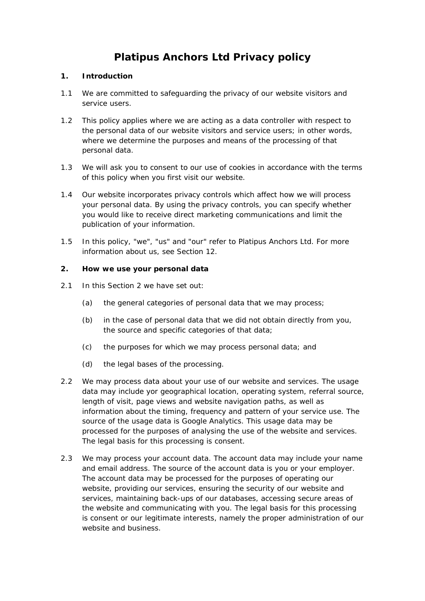# **Platipus Anchors Ltd Privacy policy**

## **1. Introduction**

- 1.1 We are committed to safeguarding the privacy of our website visitors and service users.
- 1.2 This policy applies where we are acting as a data controller with respect to the personal data of our website visitors and service users; in other words, where we determine the purposes and means of the processing of that personal data.
- 1.3 We will ask you to consent to our use of cookies in accordance with the terms of this policy when you first visit our website.
- 1.4 Our website incorporates privacy controls which affect how we will process your personal data. By using the privacy controls, you can specify whether you would like to receive direct marketing communications and limit the publication of your information.
- 1.5 In this policy, "we", "us" and "our" refer to Platipus Anchors Ltd. For more information about us, see Section 12.

## **2. How we use your personal data**

- 2.1 In this Section 2 we have set out:
	- (a) the general categories of personal data that we may process;
	- (b) in the case of personal data that we did not obtain directly from you, the source and specific categories of that data;
	- (c) the purposes for which we may process personal data; and
	- (d) the legal bases of the processing.
- 2.2 We may process data about your use of our website and services. The usage data may include yor geographical location, operating system, referral source, length of visit, page views and website navigation paths, as well as information about the timing, frequency and pattern of your service use. The source of the usage data is Google Analytics. This usage data may be processed for the purposes of analysing the use of the website and services. The legal basis for this processing is consent.
- 2.3 We may process your account data. The account data may include your name and email address. The source of the account data is you or your employer. The account data may be processed for the purposes of operating our website, providing our services, ensuring the security of our website and services, maintaining back-ups of our databases, accessing secure areas of the website and communicating with you. The legal basis for this processing is consent or our legitimate interests, namely the proper administration of our website and business.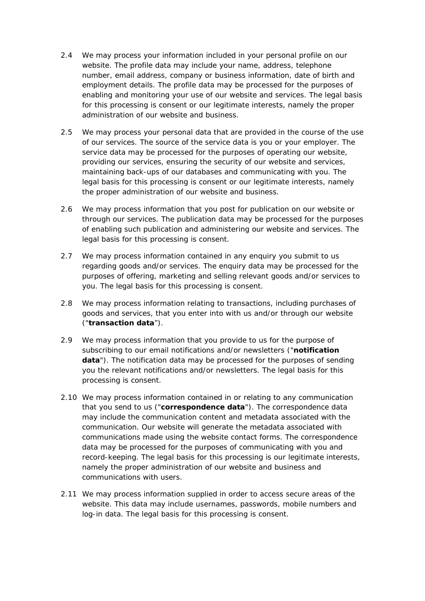- 2.4 We may process your information included in your personal profile on our website. The profile data may include your name, address, telephone number, email address, company or business information, date of birth and employment details. The profile data may be processed for the purposes of enabling and monitoring your use of our website and services. The legal basis for this processing is consent or our legitimate interests, namely the proper administration of our website and business.
- 2.5 We may process your personal data that are provided in the course of the use of our services. The source of the service data is you or your employer. The service data may be processed for the purposes of operating our website, providing our services, ensuring the security of our website and services, maintaining back-ups of our databases and communicating with you. The legal basis for this processing is consent or our legitimate interests, namely the proper administration of our website and business.
- 2.6 We may process information that you post for publication on our website or through our services. The publication data may be processed for the purposes of enabling such publication and administering our website and services. The legal basis for this processing is consent.
- 2.7 We may process information contained in any enquiry you submit to us regarding goods and/or services. The enquiry data may be processed for the purposes of offering, marketing and selling relevant goods and/or services to you. The legal basis for this processing is consent.
- 2.8 We may process information relating to transactions, including purchases of goods and services, that you enter into with us and/or through our website ("**transaction data**").
- 2.9 We may process information that you provide to us for the purpose of subscribing to our email notifications and/or newsletters ("**notification data**"). The notification data may be processed for the purposes of sending you the relevant notifications and/or newsletters. The legal basis for this processing is consent.
- 2.10 We may process information contained in or relating to any communication that you send to us ("**correspondence data**"). The correspondence data may include the communication content and metadata associated with the communication. Our website will generate the metadata associated with communications made using the website contact forms. The correspondence data may be processed for the purposes of communicating with you and record-keeping. The legal basis for this processing is our legitimate interests, namely the proper administration of our website and business and communications with users.
- 2.11 We may process information supplied in order to access secure areas of the website. This data may include usernames, passwords, mobile numbers and log-in data. The legal basis for this processing is consent.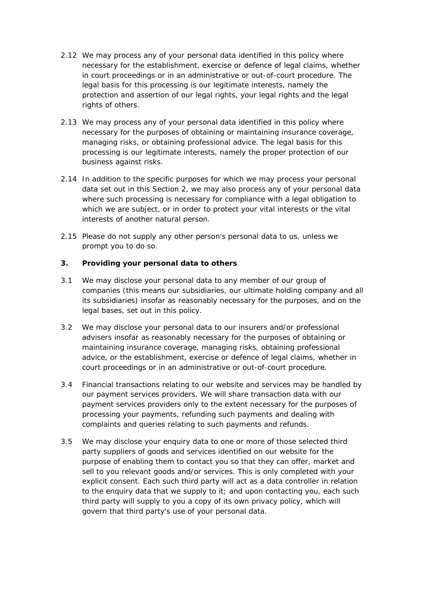- 2.12 We may process any of your personal data identified in this policy where necessary for the establishment, exercise or defence of legal claims, whether in court proceedings or in an administrative or out-of-court procedure. The legal basis for this processing is our legitimate interests, namely the protection and assertion of our legal rights, your legal rights and the legal rights of others.
- 2.13 We may process any of your personal data identified in this policy where necessary for the purposes of obtaining or maintaining insurance coverage, managing risks, or obtaining professional advice. The legal basis for this processing is our legitimate interests, namely the proper protection of our business against risks.
- 2.14 In addition to the specific purposes for which we may process your personal data set out in this Section 2, we may also process any of your personal data where such processing is necessary for compliance with a legal obligation to which we are subject, or in order to protect your vital interests or the vital interests of another natural person.
- 2.15 Please do not supply any other person's personal data to us, unless we prompt you to do so.

## **3. Providing your personal data to others**

- 3.1 We may disclose your personal data to any member of our group of companies (this means our subsidiaries, our ultimate holding company and all its subsidiaries) insofar as reasonably necessary for the purposes, and on the legal bases, set out in this policy.
- 3.2 We may disclose your personal data to our insurers and/or professional advisers insofar as reasonably necessary for the purposes of obtaining or maintaining insurance coverage, managing risks, obtaining professional advice, or the establishment, exercise or defence of legal claims, whether in court proceedings or in an administrative or out-of-court procedure.
- 3.4 Financial transactions relating to our website and services may be handled by our payment services providers. We will share transaction data with our payment services providers only to the extent necessary for the purposes of processing your payments, refunding such payments and dealing with complaints and queries relating to such payments and refunds.
- 3.5 We may disclose your enquiry data to one or more of those selected third party suppliers of goods and services identified on our website for the purpose of enabling them to contact you so that they can offer, market and sell to you relevant goods and/or services. This is only completed with your explicit consent. Each such third party will act as a data controller in relation to the enquiry data that we supply to it; and upon contacting you, each such third party will supply to you a copy of its own privacy policy, which will govern that third party's use of your personal data.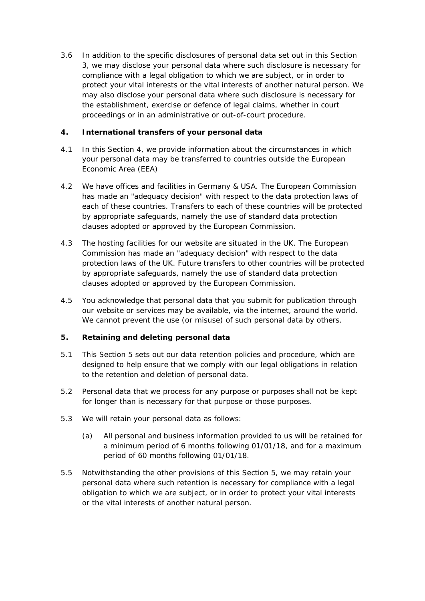3.6 In addition to the specific disclosures of personal data set out in this Section 3, we may disclose your personal data where such disclosure is necessary for compliance with a legal obligation to which we are subject, or in order to protect your vital interests or the vital interests of another natural person. We may also disclose your personal data where such disclosure is necessary for the establishment, exercise or defence of legal claims, whether in court proceedings or in an administrative or out-of-court procedure.

# **4. International transfers of your personal data**

- 4.1 In this Section 4, we provide information about the circumstances in which your personal data may be transferred to countries outside the European Economic Area (EEA)
- 4.2 We have offices and facilities in Germany & USA. The European Commission has made an "adequacy decision" with respect to the data protection laws of each of these countries. Transfers to each of these countries will be protected by appropriate safeguards, namely the use of standard data protection clauses adopted or approved by the European Commission.
- 4.3 The hosting facilities for our website are situated in the UK. The European Commission has made an "adequacy decision" with respect to the data protection laws of the UK. Future transfers to other countries will be protected by appropriate safeguards, namely the use of standard data protection clauses adopted or approved by the European Commission.
- 4.5 You acknowledge that personal data that you submit for publication through our website or services may be available, via the internet, around the world. We cannot prevent the use (or misuse) of such personal data by others.

# **5. Retaining and deleting personal data**

- 5.1 This Section 5 sets out our data retention policies and procedure, which are designed to help ensure that we comply with our legal obligations in relation to the retention and deletion of personal data.
- 5.2 Personal data that we process for any purpose or purposes shall not be kept for longer than is necessary for that purpose or those purposes.
- 5.3 We will retain your personal data as follows:
	- (a) All personal and business information provided to us will be retained for a minimum period of 6 months following 01/01/18, and for a maximum period of 60 months following 01/01/18.
- 5.5 Notwithstanding the other provisions of this Section 5, we may retain your personal data where such retention is necessary for compliance with a legal obligation to which we are subject, or in order to protect your vital interests or the vital interests of another natural person.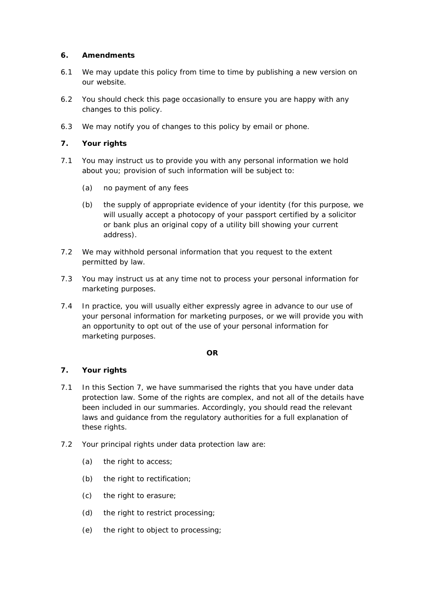## **6. Amendments**

- 6.1 We may update this policy from time to time by publishing a new version on our website.
- 6.2 You should check this page occasionally to ensure you are happy with any changes to this policy.
- 6.3 We may notify you of changes to this policy by email or phone.

## **7. Your rights**

- 7.1 You may instruct us to provide you with any personal information we hold about you; provision of such information will be subject to:
	- (a) no payment of any fees
	- (b) the supply of appropriate evidence of your identity (for this purpose, we will usually accept a photocopy of your passport certified by a solicitor or bank plus an original copy of a utility bill showing your current address).
- 7.2 We may withhold personal information that you request to the extent permitted by law.
- 7.3 You may instruct us at any time not to process your personal information for marketing purposes.
- 7.4 In practice, you will usually either expressly agree in advance to our use of your personal information for marketing purposes, or we will provide you with an opportunity to opt out of the use of your personal information for marketing purposes.

#### **OR**

#### **7. Your rights**

- 7.1 In this Section 7, we have summarised the rights that you have under data protection law. Some of the rights are complex, and not all of the details have been included in our summaries. Accordingly, you should read the relevant laws and guidance from the regulatory authorities for a full explanation of these rights.
- 7.2 Your principal rights under data protection law are:
	- (a) the right to access;
	- (b) the right to rectification;
	- (c) the right to erasure;
	- (d) the right to restrict processing;
	- (e) the right to object to processing;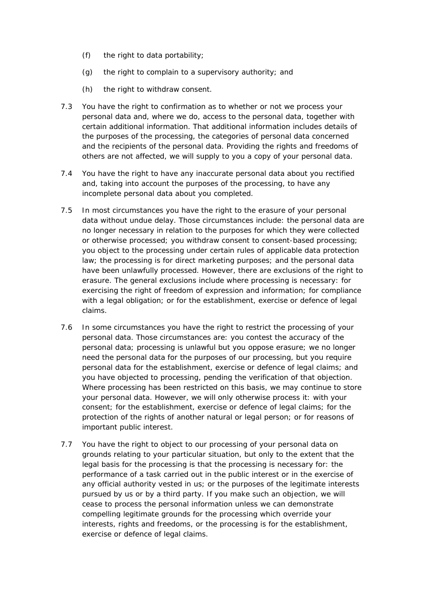- (f) the right to data portability;
- (g) the right to complain to a supervisory authority; and
- (h) the right to withdraw consent.
- 7.3 You have the right to confirmation as to whether or not we process your personal data and, where we do, access to the personal data, together with certain additional information. That additional information includes details of the purposes of the processing, the categories of personal data concerned and the recipients of the personal data. Providing the rights and freedoms of others are not affected, we will supply to you a copy of your personal data.
- 7.4 You have the right to have any inaccurate personal data about you rectified and, taking into account the purposes of the processing, to have any incomplete personal data about you completed.
- 7.5 In most circumstances you have the right to the erasure of your personal data without undue delay. Those circumstances include: the personal data are no longer necessary in relation to the purposes for which they were collected or otherwise processed; you withdraw consent to consent-based processing; you object to the processing under certain rules of applicable data protection law; the processing is for direct marketing purposes; and the personal data have been unlawfully processed. However, there are exclusions of the right to erasure. The general exclusions include where processing is necessary: for exercising the right of freedom of expression and information; for compliance with a legal obligation; or for the establishment, exercise or defence of legal claims.
- 7.6 In some circumstances you have the right to restrict the processing of your personal data. Those circumstances are: you contest the accuracy of the personal data; processing is unlawful but you oppose erasure; we no longer need the personal data for the purposes of our processing, but you require personal data for the establishment, exercise or defence of legal claims; and you have objected to processing, pending the verification of that objection. Where processing has been restricted on this basis, we may continue to store your personal data. However, we will only otherwise process it: with your consent; for the establishment, exercise or defence of legal claims; for the protection of the rights of another natural or legal person; or for reasons of important public interest.
- 7.7 You have the right to object to our processing of your personal data on grounds relating to your particular situation, but only to the extent that the legal basis for the processing is that the processing is necessary for: the performance of a task carried out in the public interest or in the exercise of any official authority vested in us; or the purposes of the legitimate interests pursued by us or by a third party. If you make such an objection, we will cease to process the personal information unless we can demonstrate compelling legitimate grounds for the processing which override your interests, rights and freedoms, or the processing is for the establishment, exercise or defence of legal claims.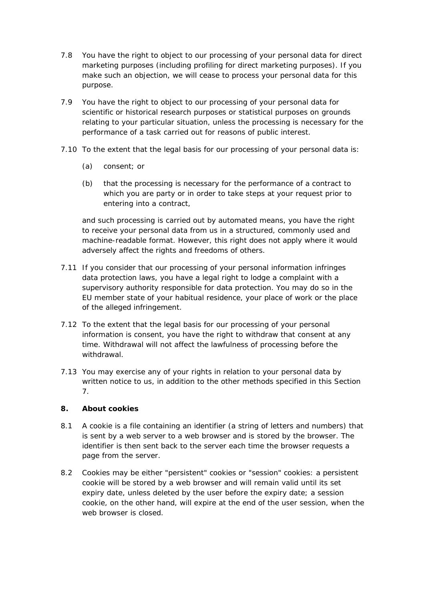- 7.8 You have the right to object to our processing of your personal data for direct marketing purposes (including profiling for direct marketing purposes). If you make such an objection, we will cease to process your personal data for this purpose.
- 7.9 You have the right to object to our processing of your personal data for scientific or historical research purposes or statistical purposes on grounds relating to your particular situation, unless the processing is necessary for the performance of a task carried out for reasons of public interest.
- 7.10 To the extent that the legal basis for our processing of your personal data is:
	- (a) consent; or
	- (b) that the processing is necessary for the performance of a contract to which you are party or in order to take steps at your request prior to entering into a contract,

 and such processing is carried out by automated means, you have the right to receive your personal data from us in a structured, commonly used and machine-readable format. However, this right does not apply where it would adversely affect the rights and freedoms of others.

- 7.11 If you consider that our processing of your personal information infringes data protection laws, you have a legal right to lodge a complaint with a supervisory authority responsible for data protection. You may do so in the EU member state of your habitual residence, your place of work or the place of the alleged infringement.
- 7.12 To the extent that the legal basis for our processing of your personal information is consent, you have the right to withdraw that consent at any time. Withdrawal will not affect the lawfulness of processing before the withdrawal.
- 7.13 You may exercise any of your rights in relation to your personal data by written notice to us, in addition to the other methods specified in this Section 7.

# **8. About cookies**

- 8.1 A cookie is a file containing an identifier (a string of letters and numbers) that is sent by a web server to a web browser and is stored by the browser. The identifier is then sent back to the server each time the browser requests a page from the server.
- 8.2 Cookies may be either "persistent" cookies or "session" cookies: a persistent cookie will be stored by a web browser and will remain valid until its set expiry date, unless deleted by the user before the expiry date; a session cookie, on the other hand, will expire at the end of the user session, when the web browser is closed.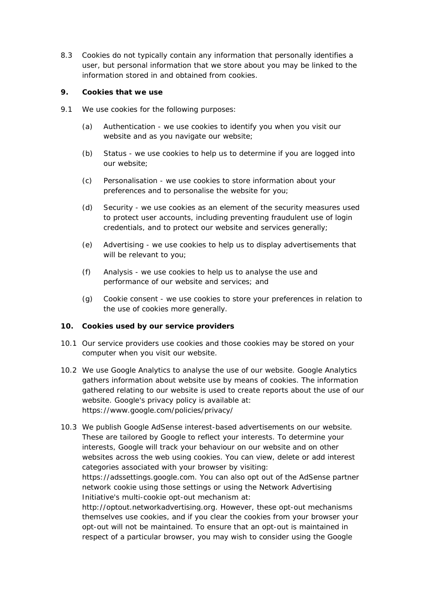8.3 Cookies do not typically contain any information that personally identifies a user, but personal information that we store about you may be linked to the information stored in and obtained from cookies.

#### **9. Cookies that we use**

- 9.1 We use cookies for the following purposes:
	- (a) Authentication we use cookies to identify you when you visit our website and as you navigate our website;
	- (b) Status we use cookies to help us to determine if you are logged into our website;
	- (c) Personalisation we use cookies to store information about your preferences and to personalise the website for you;
	- (d) Security we use cookies as an element of the security measures used to protect user accounts, including preventing fraudulent use of login credentials, and to protect our website and services generally;
	- (e) Advertising we use cookies to help us to display advertisements that will be relevant to you;
	- (f) Analysis we use cookies to help us to analyse the use and performance of our website and services; and
	- (g) Cookie consent we use cookies to store your preferences in relation to the use of cookies more generally.

#### **10. Cookies used by our service providers**

- 10.1 Our service providers use cookies and those cookies may be stored on your computer when you visit our website.
- 10.2 We use Google Analytics to analyse the use of our website. Google Analytics gathers information about website use by means of cookies. The information gathered relating to our website is used to create reports about the use of our website. Google's privacy policy is available at: https://www.google.com/policies/privacy/
- 10.3 We publish Google AdSense interest-based advertisements on our website. These are tailored by Google to reflect your interests. To determine your interests, Google will track your behaviour on our website and on other websites across the web using cookies. You can view, delete or add interest categories associated with your browser by visiting: https://adssettings.google.com. You can also opt out of the AdSense partner network cookie using those settings or using the Network Advertising Initiative's multi-cookie opt-out mechanism at: http://optout.networkadvertising.org. However, these opt-out mechanisms

themselves use cookies, and if you clear the cookies from your browser your opt-out will not be maintained. To ensure that an opt-out is maintained in respect of a particular browser, you may wish to consider using the Google